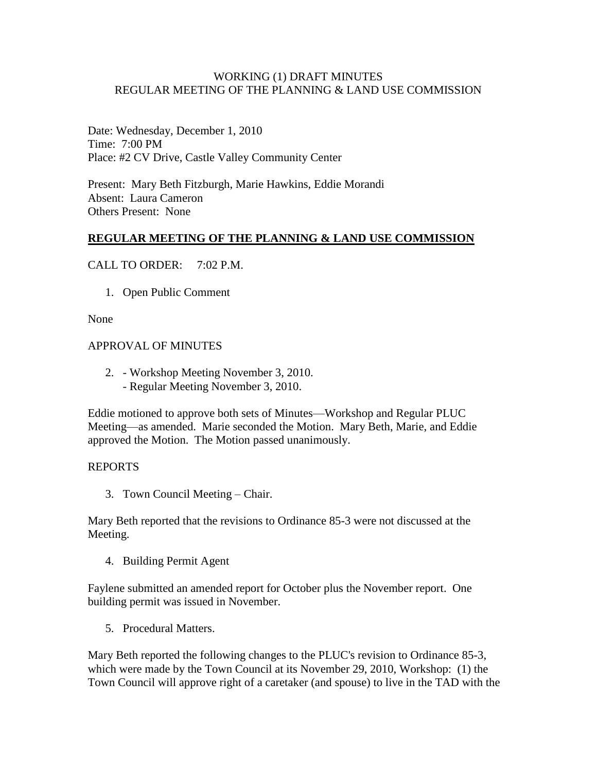### WORKING (1) DRAFT MINUTES REGULAR MEETING OF THE PLANNING & LAND USE COMMISSION

Date: Wednesday, December 1, 2010 Time: 7:00 PM Place: #2 CV Drive, Castle Valley Community Center

Present: Mary Beth Fitzburgh, Marie Hawkins, Eddie Morandi Absent: Laura Cameron Others Present: None

# **REGULAR MEETING OF THE PLANNING & LAND USE COMMISSION**

### CALL TO ORDER: 7:02 P.M.

1. Open Public Comment

#### None

#### APPROVAL OF MINUTES

2. - Workshop Meeting November 3, 2010. - Regular Meeting November 3, 2010.

Eddie motioned to approve both sets of Minutes—Workshop and Regular PLUC Meeting—as amended. Marie seconded the Motion. Mary Beth, Marie, and Eddie approved the Motion. The Motion passed unanimously.

#### REPORTS

3. Town Council Meeting – Chair.

Mary Beth reported that the revisions to Ordinance 85-3 were not discussed at the Meeting.

4. Building Permit Agent

Faylene submitted an amended report for October plus the November report. One building permit was issued in November.

5. Procedural Matters.

Mary Beth reported the following changes to the PLUC's revision to Ordinance 85-3, which were made by the Town Council at its November 29, 2010, Workshop: (1) the Town Council will approve right of a caretaker (and spouse) to live in the TAD with the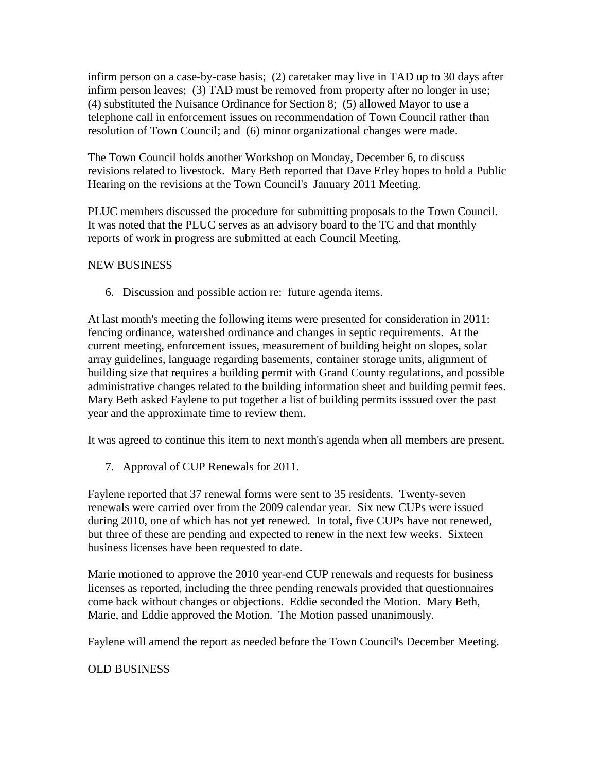infirm person on a case-by-case basis; (2) caretaker may live in TAD up to 30 days after infirm person leaves; (3) TAD must be removed from property after no longer in use; (4) substituted the Nuisance Ordinance for Section 8; (5) allowed Mayor to use a telephone call in enforcement issues on recommendation of Town Council rather than resolution of Town Council; and (6) minor organizational changes were made.

The Town Council holds another Workshop on Monday, December 6, to discuss revisions related to livestock. Mary Beth reported that Dave Erley hopes to hold a Public Hearing on the revisions at the Town Council's January 2011 Meeting.

PLUC members discussed the procedure for submitting proposals to the Town Council. It was noted that the PLUC serves as an advisory board to the TC and that monthly reports of work in progress are submitted at each Council Meeting.

# NEW BUSINESS

6. Discussion and possible action re: future agenda items.

At last month's meeting the following items were presented for consideration in 2011: fencing ordinance, watershed ordinance and changes in septic requirements. At the current meeting, enforcement issues, measurement of building height on slopes, solar array guidelines, language regarding basements, container storage units, alignment of building size that requires a building permit with Grand County regulations, and possible administrative changes related to the building information sheet and building permit fees. Mary Beth asked Faylene to put together a list of building permits isssued over the past year and the approximate time to review them.

It was agreed to continue this item to next month's agenda when all members are present.

7. Approval of CUP Renewals for 2011.

Faylene reported that 37 renewal forms were sent to 35 residents. Twenty-seven renewals were carried over from the 2009 calendar year. Six new CUPs were issued during 2010, one of which has not yet renewed. In total, five CUPs have not renewed, but three of these are pending and expected to renew in the next few weeks. Sixteen business licenses have been requested to date.

Marie motioned to approve the 2010 year-end CUP renewals and requests for business licenses as reported, including the three pending renewals provided that questionnaires come back without changes or objections. Eddie seconded the Motion. Mary Beth, Marie, and Eddie approved the Motion. The Motion passed unanimously.

Faylene will amend the report as needed before the Town Council's December Meeting.

# OLD BUSINESS